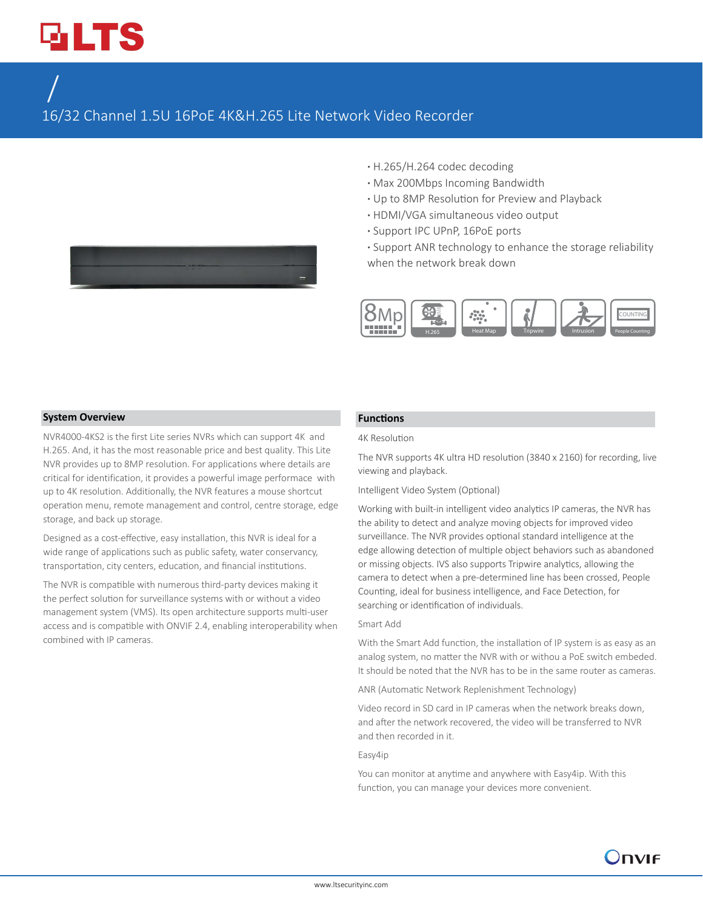# **GLTS**

# $LTN6416-P16/ N6432-P16$

16/32 Channel 1.5U 16PoE 4K&H.265 Lite Network Video Recorder

- 
- **·** H.265/H.264 codec decoding
- **·** Max 200Mbps Incoming Bandwidth
- **·** Up to 8MP Resolution for Preview and Playback
- **·** HDMI/VGA simultaneous video output
- **·** Support IPC UPnP, 16PoE ports
- **·** Support ANR technology to enhance the storage reliability when the network break down



#### **System Overview**

NVR4000-4KS2 is the first Lite series NVRs which can support 4K and H.265. And, it has the most reasonable price and best quality. This Lite NVR provides up to 8MP resolution. For applications where details are critical for identification, it provides a powerful image performace with up to 4K resolution. Additionally, the NVR features a mouse shortcut operation menu, remote management and control, centre storage, edge storage, and back up storage.

Designed as a cost-effective, easy installation, this NVR is ideal for a wide range of applications such as public safety, water conservancy, transportation, city centers, education, and financial institutions.

The NVR is compatible with numerous third-party devices making it the perfect solution for surveillance systems with or without a video management system (VMS). Its open architecture supports multi-user access and is compatible with ONVIF 2.4, enabling interoperability when combined with IP cameras.

#### **Functions**

#### 4K Resolution

The NVR supports 4K ultra HD resolution (3840 x 2160) for recording, live viewing and playback.

#### Intelligent Video System (Optional)

Working with built-in intelligent video analytics IP cameras, the NVR has the ability to detect and analyze moving objects for improved video surveillance. The NVR provides optional standard intelligence at the edge allowing detection of multiple object behaviors such as abandoned or missing objects. IVS also supports Tripwire analytics, allowing the camera to detect when a pre-determined line has been crossed, People Counting, ideal for business intelligence, and Face Detection, for searching or identification of individuals.

#### Smart Add

With the Smart Add function, the installation of IP system is as easy as an analog system, no matter the NVR with or withou a PoE switch embeded. It should be noted that the NVR has to be in the same router as cameras.

ANR (Automatic Network Replenishment Technology)

Video record in SD card in IP cameras when the network breaks down, and after the network recovered, the video will be transferred to NVR and then recorded in it.

#### Easy4ip

You can monitor at anytime and anywhere with Easy4ip. With this function, you can manage your devices more convenient.

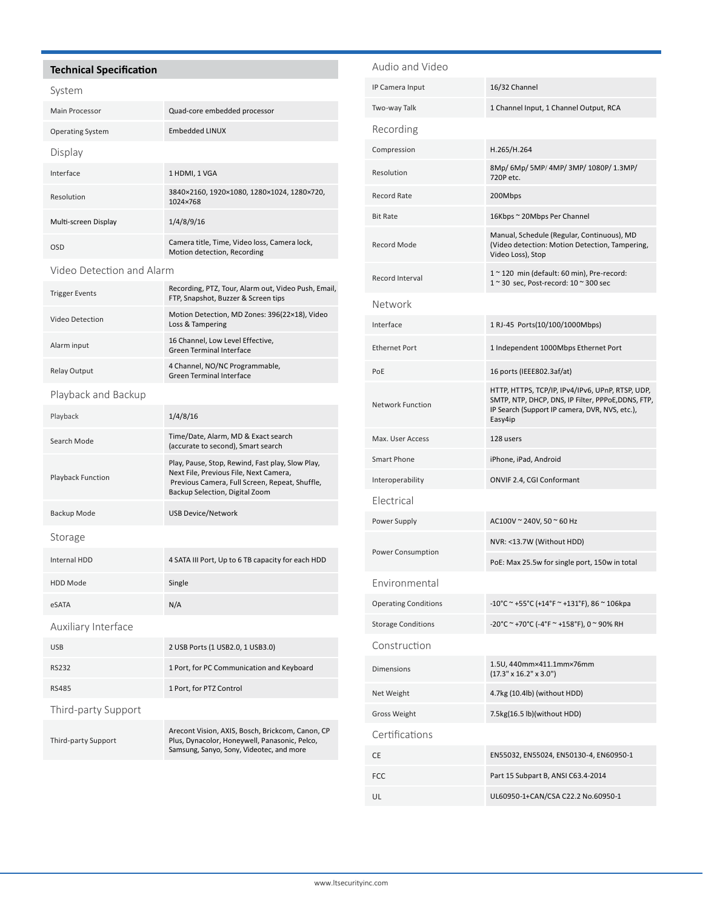#### **Technical Specification**

#### System

| Main Processor          | Quad-core embedded processor                                                |  |
|-------------------------|-----------------------------------------------------------------------------|--|
| <b>Operating System</b> | <b>Embedded LINUX</b>                                                       |  |
| Display                 |                                                                             |  |
| Interface               | 1 HDMI, 1 VGA                                                               |  |
| Resolution              | 3840×2160, 1920×1080, 1280×1024, 1280×720,<br>1024×768                      |  |
| Multi-screen Display    | 1/4/8/9/16                                                                  |  |
| OSD                     | Camera title, Time, Video loss, Camera lock,<br>Motion detection, Recording |  |

#### Video Detection and Alarm

| <b>Trigger Events</b> | Recording, PTZ, Tour, Alarm out, Video Push, Email,<br>FTP, Snapshot, Buzzer & Screen tips |
|-----------------------|--------------------------------------------------------------------------------------------|
| Video Detection       | Motion Detection, MD Zones: 396(22×18), Video<br>Loss & Tampering                          |
| Alarm input           | 16 Channel, Low Level Effective,<br>Green Terminal Interface                               |
| <b>Relay Output</b>   | 4 Channel, NO/NC Programmable,<br>Green Terminal Interface                                 |
| Playback and Backup   |                                                                                            |
|                       |                                                                                            |

### Playback 1/4/8/16 Search Mode Time/Date, Alarm, MD & Exact search (accurate to second), Smart search Playback Function Play, Pause, Stop, Rewind, Fast play, Slow Play, Next File, Previous File, Next Camera, Previous Camera, Full Screen, Repeat, Shuffle, Backup Selection, Digital Zoom Backup Mode USB Device/Network Storage Internal HDD 4 SATA III Port, Up to 6 TB capacity for each HDD HDD Mode Single eSATA N/A Auxiliary Interface USB 2 USB Ports (1 USB2.0, 1 USB3.0) RS232 1 Port, for PC Communication and Keyboard RS485 1 Port, for PTZ Control Third-party Support Third-party Support Arecont Vision, AXIS, Bosch, Brickcom, Canon, CP Plus, Dynacolor, Honeywell, Panasonic, Pelco, Samsung, Sanyo, Sony, Videotec, and more

## Audio and Video IP Camera Input 16/32 Channel Two-way Talk 1 Channel Input, 1 Channel Output, RCA Recording Compression H.265/H.264 Resolution 8Mp/ 6Mp/ 5MP/ 4MP/ 3MP/ 1080P/ 1.3MP/ 720P etc. Record Rate 200Mbps Bit Rate 16Kbps ~ 20Mbps Per Channel Record Mode Manual, Schedule (Regular, Continuous), MD (Video detection: Motion Detection, Tampering, Video Loss), Stop Record Interval  $1 ~ 120$  min (default: 60 min), Pre-record:<br> $1 ~ 20 ~ 100$  and  $200 ~ 100$  and  $200 ~ 100$ 1 ~ 30 sec, Post-record: 10 ~ 300 sec Network Interface 1 RJ-45 Ports(10/100/1000Mbps) Ethernet Port 11 Independent 1000Mbps Ethernet Port PoE 16 ports (IEEE802.3af/at) Network Function HTTP, HTTPS, TCP/IP, IPv4/IPv6, UPnP, RTSP, UDP, SMTP, NTP, DHCP, DNS, IP Filter, PPPoE,DDNS, FTP, IP Search (Support IP camera, DVR, NVS, etc.), Easy4ip Max. User Access 128 users Smart Phone iPhone, iPad, Android Interoperability ONVIF 2.4, CGI Conformant Electrical Power Supply **AC100V** ~ 240V, 50 ~ 60 Hz Power Consumption NVR: <13.7W (Without HDD) PoE: Max 25.5w for single port, 150w in total Environmental Operating Conditions  $-10^{\circ}$ C ~ +55°C (+14°F ~ +131°F), 86 ~ 106kpa Storage Conditions -20°C ~ +70°C (-4°F ~ +158°F), 0 ~ 90% RH Construction Dimensions 1.5U, 440mm×411.1mm×76mm (17.3" x 16.2" x 3.0") Net Weight **4.7kg (10.4lb)** (without HDD) Gross Weight 7.5kg(16.5 lb)(without HDD) Certifications CE EN55032, EN55024, EN50130-4, EN60950-1 FCC Part 15 Subpart B, ANSI C63.4-2014 UL UL60950-1+CAN/CSA C22.2 No.60950-1